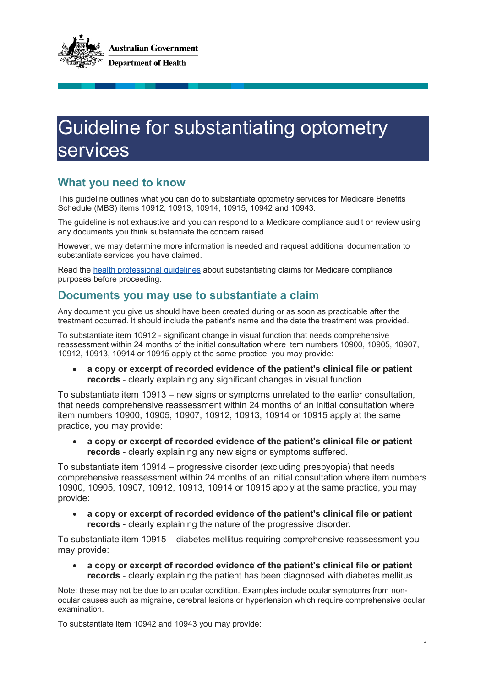

## Guideline for substantiating optometry services

## **What you need to know**

This guideline outlines what you can do to substantiate optometry services for Medicare Benefits Schedule (MBS) items 10912, 10913, 10914, 10915, 10942 and 10943.

The guideline is not exhaustive and you can respond to a Medicare compliance audit or review using any documents you think substantiate the concern raised.

However, we may determine more information is needed and request additional documentation to substantiate services you have claimed.

Read the [health professional guidelines](https://www1.health.gov.au/internet/main/publishing.nsf/Content/health-professional-guidelines) about substantiating claims for Medicare compliance purposes before proceeding.

## **Documents you may use to substantiate a claim**

Any document you give us should have been created during or as soon as practicable after the treatment occurred. It should include the patient's name and the date the treatment was provided.

To substantiate item 10912 - significant change in visual function that needs comprehensive reassessment within 24 months of the initial consultation where item numbers 10900, 10905, 10907, 10912, 10913, 10914 or 10915 apply at the same practice, you may provide:

• **a copy or excerpt of recorded evidence of the patient's clinical file or patient records** - clearly explaining any significant changes in visual function.

To substantiate item 10913 – new signs or symptoms unrelated to the earlier consultation, that needs comprehensive reassessment within 24 months of an initial consultation where item numbers 10900, 10905, 10907, 10912, 10913, 10914 or 10915 apply at the same practice, you may provide:

• **a copy or excerpt of recorded evidence of the patient's clinical file or patient records** - clearly explaining any new signs or symptoms suffered.

To substantiate item 10914 – progressive disorder (excluding presbyopia) that needs comprehensive reassessment within 24 months of an initial consultation where item numbers 10900, 10905, 10907, 10912, 10913, 10914 or 10915 apply at the same practice, you may provide:

• **a copy or excerpt of recorded evidence of the patient's clinical file or patient records** - clearly explaining the nature of the progressive disorder.

To substantiate item 10915 – diabetes mellitus requiring comprehensive reassessment you may provide:

• **a copy or excerpt of recorded evidence of the patient's clinical file or patient records** - clearly explaining the patient has been diagnosed with diabetes mellitus.

Note: these may not be due to an ocular condition. Examples include ocular symptoms from nonocular causes such as migraine, cerebral lesions or hypertension which require comprehensive ocular examination.

To substantiate item 10942 and 10943 you may provide: